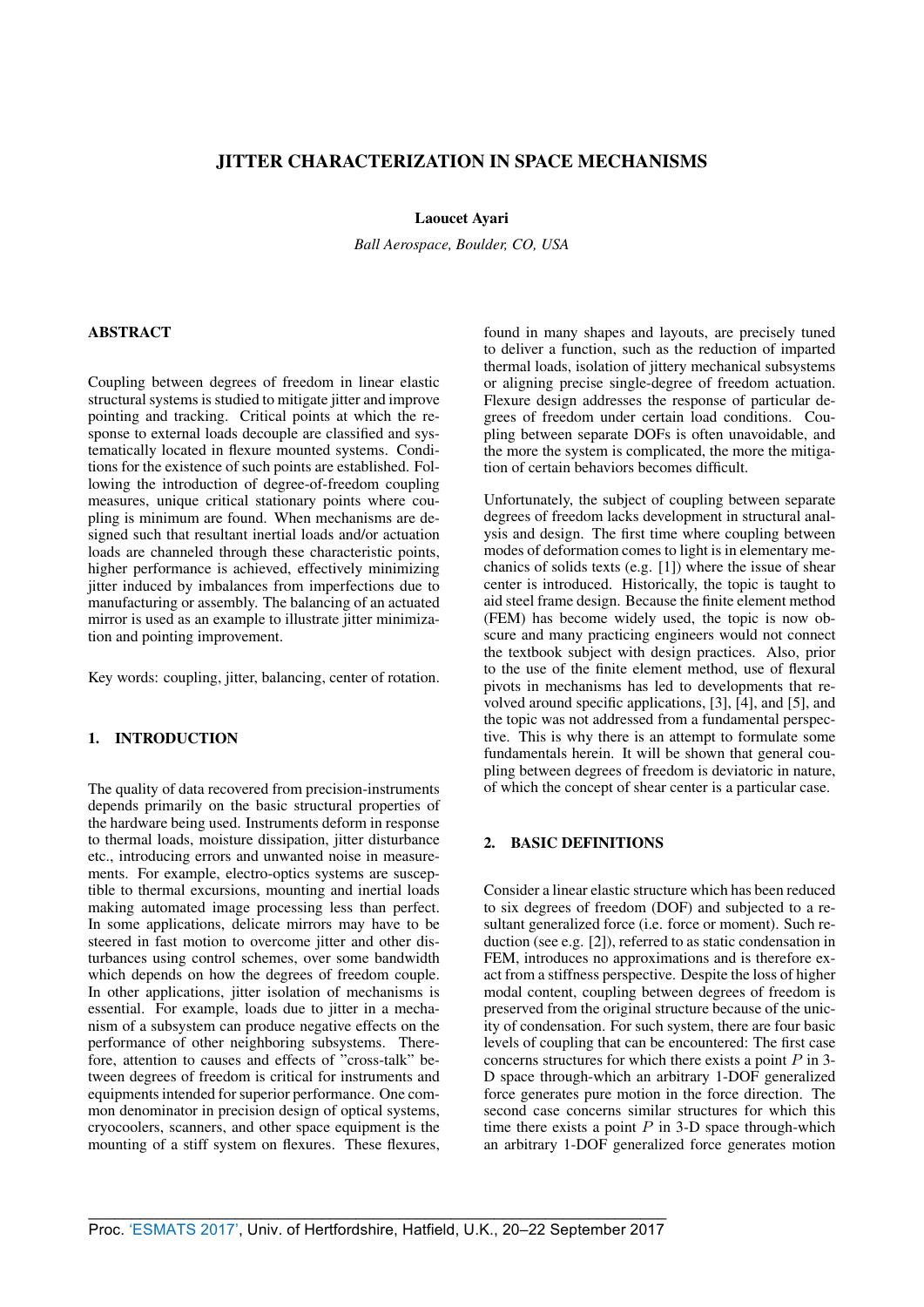# JITTER CHARACTERIZATION IN SPACE MECHANISMS

## Laoucet Ayari

*Ball Aerospace, Boulder, CO, USA*

# ABSTRACT

Coupling between degrees of freedom in linear elastic structural systems is studied to mitigate jitter and improve pointing and tracking. Critical points at which the response to external loads decouple are classified and systematically located in flexure mounted systems. Conditions for the existence of such points are established. Following the introduction of degree-of-freedom coupling measures, unique critical stationary points where coupling is minimum are found. When mechanisms are designed such that resultant inertial loads and/or actuation loads are channeled through these characteristic points, higher performance is achieved, effectively minimizing jitter induced by imbalances from imperfections due to manufacturing or assembly. The balancing of an actuated mirror is used as an example to illustrate jitter minimization and pointing improvement.

Key words: coupling, jitter, balancing, center of rotation.

# 1. INTRODUCTION

The quality of data recovered from precision-instruments depends primarily on the basic structural properties of the hardware being used. Instruments deform in response to thermal loads, moisture dissipation, jitter disturbance etc., introducing errors and unwanted noise in measurements. For example, electro-optics systems are susceptible to thermal excursions, mounting and inertial loads making automated image processing less than perfect. In some applications, delicate mirrors may have to be steered in fast motion to overcome jitter and other disturbances using control schemes, over some bandwidth which depends on how the degrees of freedom couple. In other applications, jitter isolation of mechanisms is essential. For example, loads due to jitter in a mechanism of a subsystem can produce negative effects on the performance of other neighboring subsystems. Therefore, attention to causes and effects of "cross-talk" between degrees of freedom is critical for instruments and equipments intended for superior performance. One common denominator in precision design of optical systems, cryocoolers, scanners, and other space equipment is the mounting of a stiff system on flexures. These flexures, found in many shapes and layouts, are precisely tuned to deliver a function, such as the reduction of imparted thermal loads, isolation of jittery mechanical subsystems or aligning precise single-degree of freedom actuation. Flexure design addresses the response of particular degrees of freedom under certain load conditions. Coupling between separate DOFs is often unavoidable, and the more the system is complicated, the more the mitigation of certain behaviors becomes difficult.

Unfortunately, the subject of coupling between separate degrees of freedom lacks development in structural analysis and design. The first time where coupling between modes of deformation comes to light is in elementary mechanics of solids texts (e.g. [1]) where the issue of shear center is introduced. Historically, the topic is taught to aid steel frame design. Because the finite element method (FEM) has become widely used, the topic is now obscure and many practicing engineers would not connect the textbook subject with design practices. Also, prior to the use of the finite element method, use of flexural pivots in mechanisms has led to developments that revolved around specific applications,  $[3]$ ,  $[4]$ , and  $[5]$ , and the topic was not addressed from a fundamental perspective. This is why there is an attempt to formulate some fundamentals herein. It will be shown that general coupling between degrees of freedom is deviatoric in nature, of which the concept of shear center is a particular case.

# 2. BASIC DEFINITIONS

Consider a linear elastic structure which has been reduced to six degrees of freedom (DOF) and subjected to a resultant generalized force (i.e. force or moment). Such reduction (see e.g. [2]), referred to as static condensation in FEM, introduces no approximations and is therefore exact from a stiffness perspective. Despite the loss of higher modal content, coupling between degrees of freedom is preserved from the original structure because of the unicity of condensation. For such system, there are four basic levels of coupling that can be encountered: The first case concerns structures for which there exists a point  $P$  in 3-D space through-which an arbitrary 1-DOF generalized force generates pure motion in the force direction. The second case concerns similar structures for which this time there exists a point  $P$  in 3-D space through-which an arbitrary 1-DOF generalized force generates motion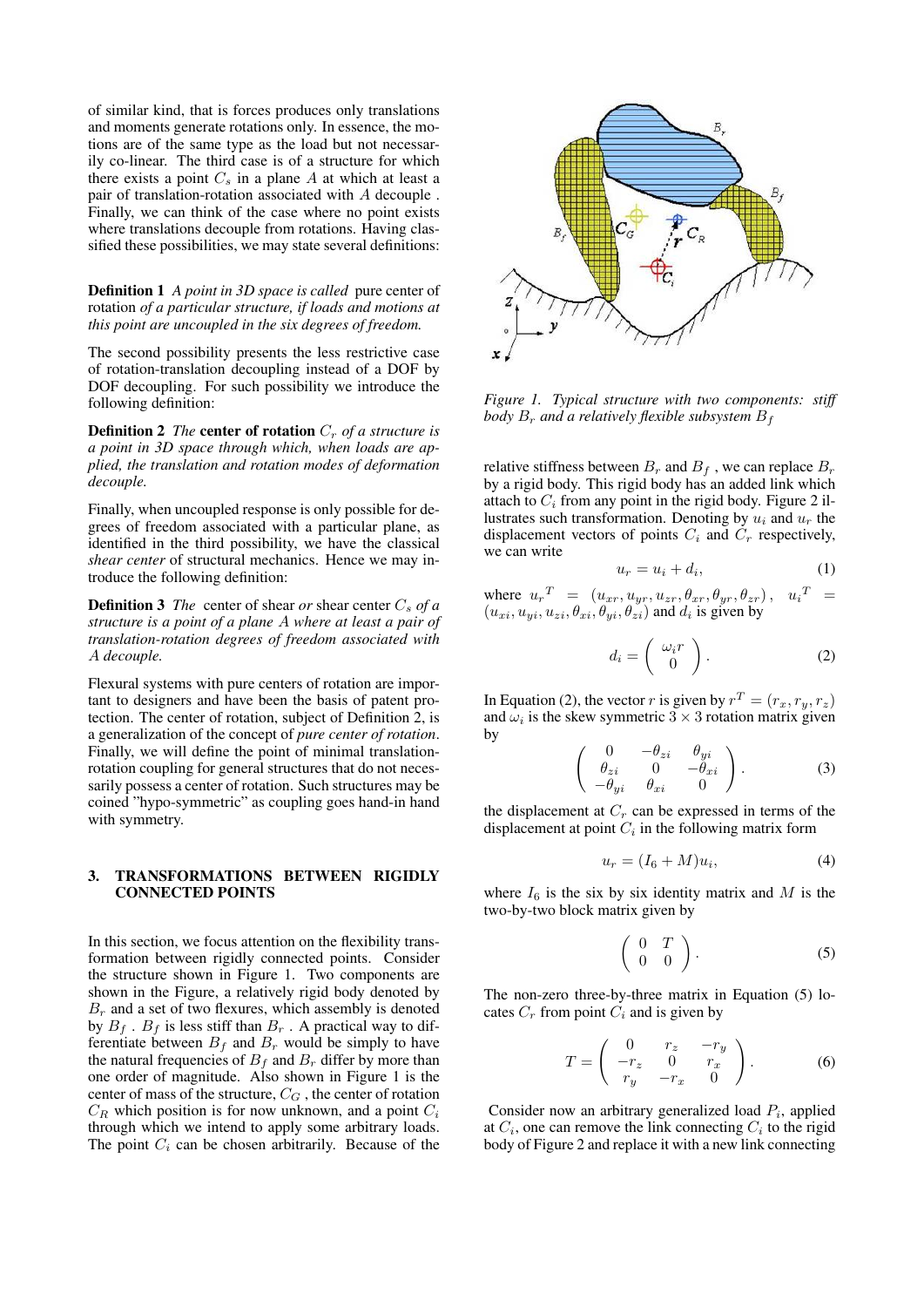of similar kind, that is forces produces only translations and moments generate rotations only. In essence, the motions are of the same type as the load but not necessarily co-linear. The third case is of a structure for which there exists a point  $C_s$  in a plane A at which at least a pair of translation-rotation associated with A decouple . Finally, we can think of the case where no point exists where translations decouple from rotations. Having classified these possibilities, we may state several definitions:

Definition 1 *A point in 3D space is called* pure center of rotation *of a particular structure, if loads and motions at this point are uncoupled in the six degrees of freedom.*

The second possibility presents the less restrictive case of rotation-translation decoupling instead of a DOF by DOF decoupling. For such possibility we introduce the following definition:

**Definition 2** *The* **center of rotation**  $C_r$  *of a structure is a point in 3D space through which, when loads are applied, the translation and rotation modes of deformation decouple.*

Finally, when uncoupled response is only possible for degrees of freedom associated with a particular plane, as identified in the third possibility, we have the classical *shear center* of structural mechanics. Hence we may introduce the following definition:

**Definition 3** *The* center of shear *or* shear center  $C_s$  *of a structure is a point of a plane* A *where at least a pair of translation-rotation degrees of freedom associated with* A *decouple.*

Flexural systems with pure centers of rotation are important to designers and have been the basis of patent protection. The center of rotation, subject of Definition 2, is a generalization of the concept of *pure center of rotation*. Finally, we will define the point of minimal translationrotation coupling for general structures that do not necessarily possess a center of rotation. Such structures may be coined "hypo-symmetric" as coupling goes hand-in hand with symmetry.

# 3. TRANSFORMATIONS BETWEEN RIGIDLY CONNECTED POINTS

In this section, we focus attention on the flexibility transformation between rigidly connected points. Consider the structure shown in Figure 1. Two components are shown in the Figure, a relatively rigid body denoted by  $B_r$  and a set of two flexures, which assembly is denoted by  $B_f$ .  $B_f$  is less stiff than  $B_r$ . A practical way to differentiate between  $B_f$  and  $B_r$  would be simply to have the natural frequencies of  $B_f$  and  $B_r$  differ by more than one order of magnitude. Also shown in Figure 1 is the center of mass of the structure,  $C_G$ , the center of rotation  $C_R$  which position is for now unknown, and a point  $C_i$ through which we intend to apply some arbitrary loads. The point  $C_i$  can be chosen arbitrarily. Because of the



*Figure 1. Typical structure with two components: stiff body*  $B_r$  *and a relatively flexible subsystem*  $B_f$ 

relative stiffness between  $B_r$  and  $B_f$ , we can replace  $B_r$ by a rigid body. This rigid body has an added link which attach to  $C_i$  from any point in the rigid body. Figure 2 illustrates such transformation. Denoting by  $u_i$  and  $u_r$  the displacement vectors of points  $C_i$  and  $C_r$  respectively, we can write

$$
u_r = u_i + d_i,\tag{1}
$$

where  $u_r^T = (u_{xr}, u_{yr}, u_{zr}, \theta_{xr}, \theta_{yr}, \theta_{zr}), u_i^T =$  $(u_{xi}, u_{yi}, u_{zi}, \theta_{xi}, \theta_{yi}, \theta_{zi})$  and  $d_i$  is given by

$$
d_i = \left(\begin{array}{c} \omega_i r \\ 0 \end{array}\right). \tag{2}
$$

In Equation (2), the vector r is given by  $r^T = (r_x, r_y, r_z)$ and  $\omega_i$  is the skew symmetric  $3 \times 3$  rotation matrix given by

$$
\left(\begin{array}{ccc} 0 & -\theta_{zi} & \theta_{yi} \\ \theta_{zi} & 0 & -\theta_{xi} \\ -\theta_{yi} & \theta_{xi} & 0 \end{array}\right).
$$
 (3)

the displacement at  $C_r$  can be expressed in terms of the displacement at point  $C_i$  in the following matrix form

$$
u_r = (I_6 + M)u_i,\t\t(4)
$$

where  $I_6$  is the six by six identity matrix and M is the two-by-two block matrix given by

$$
\left(\begin{array}{cc} 0 & T \\ 0 & 0 \end{array}\right). \tag{5}
$$

The non-zero three-by-three matrix in Equation (5) locates  $C_r$  from point  $C_i$  and is given by

$$
T = \begin{pmatrix} 0 & r_z & -r_y \\ -r_z & 0 & r_x \\ r_y & -r_x & 0 \end{pmatrix}.
$$
 (6)

Consider now an arbitrary generalized load  $P_i$ , applied at  $C_i$ , one can remove the link connecting  $C_i$  to the rigid body of Figure 2 and replace it with a new link connecting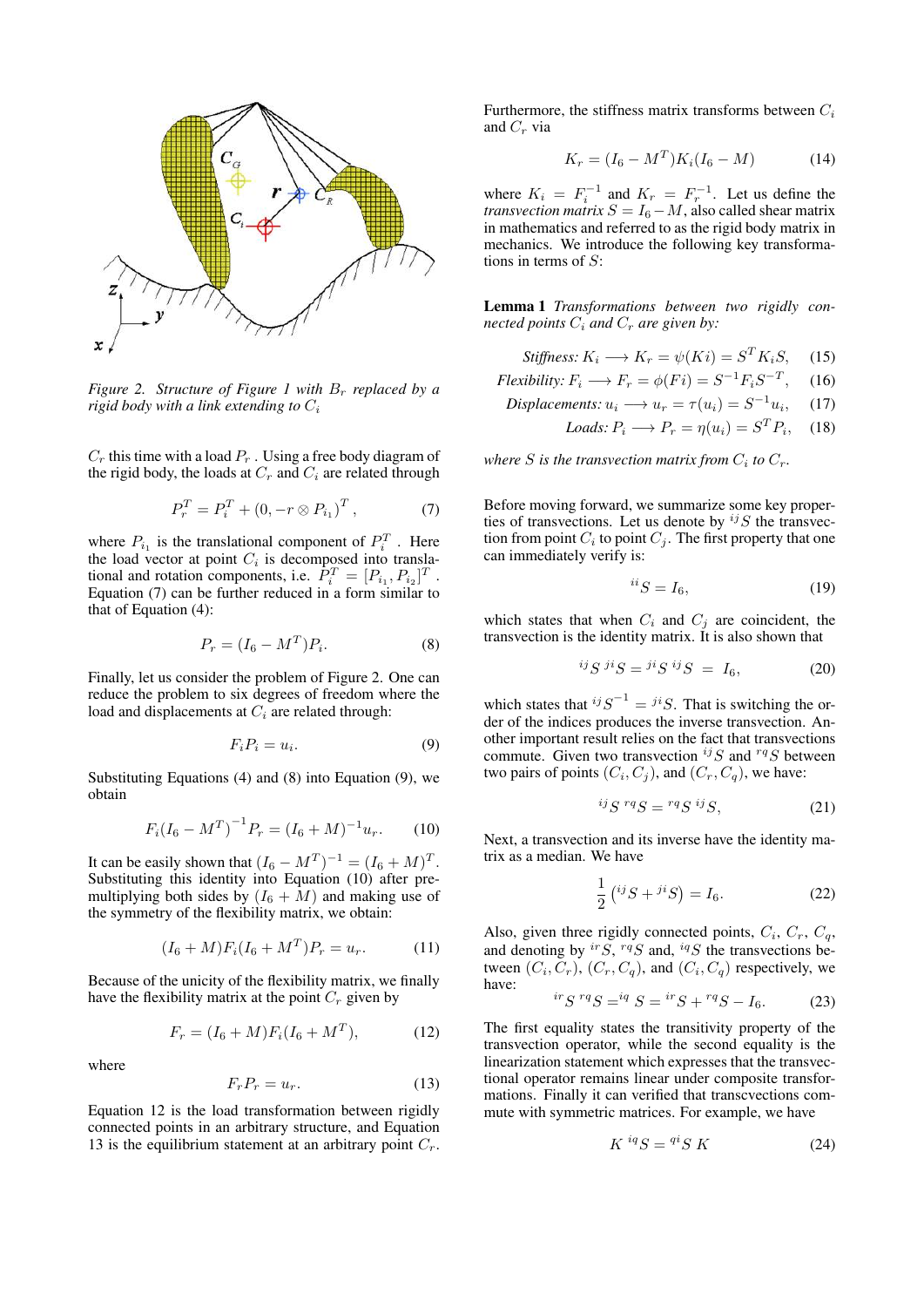

*Figure 2. Structure of Figure 1 with*  $B_r$  *replaced by a rigid body with a link extending to*  $C_i$ 

 $C_r$  this time with a load  $P_r$ . Using a free body diagram of the rigid body, the loads at  $C_r$  and  $C_i$  are related through

$$
P_r^T = P_i^T + (0, -r \otimes P_{i_1})^T, \qquad (7)
$$

where  $P_{i_1}$  is the translational component of  $P_i^T$ . Here the load vector at point  $C_i$  is decomposed into translational and rotation components, i.e.  $\overline{P_i^T} = [P_{i_1}, P_{i_2}]^T$ . Equation (7) can be further reduced in a form similar to that of Equation (4):

$$
P_r = (I_6 - M^T)P_i.
$$
 (8)

Finally, let us consider the problem of Figure 2. One can reduce the problem to six degrees of freedom where the load and displacements at  $C_i$  are related through:

$$
F_i P_i = u_i. \tag{9}
$$

Substituting Equations (4) and (8) into Equation (9), we obtain

$$
F_i(I_6 - M^T)^{-1} P_r = (I_6 + M)^{-1} u_r.
$$
 (10)

It can be easily shown that  $(I_6 - M^T)^{-1} = (I_6 + M)^T$ . Substituting this identity into Equation (10) after premultiplying both sides by  $(I_6 + M)$  and making use of the symmetry of the flexibility matrix, we obtain:

$$
(I_6 + M)F_i(I_6 + M^T)P_r = u_r.
$$
 (11)

Because of the unicity of the flexibility matrix, we finally have the flexibility matrix at the point  $C_r$  given by

$$
F_r = (I_6 + M)F_i(I_6 + M^T), \tag{12}
$$

where

$$
F_r P_r = u_r. \tag{13}
$$

Equation 12 is the load transformation between rigidly connected points in an arbitrary structure, and Equation 13 is the equilibrium statement at an arbitrary point  $C_r$ . Furthermore, the stiffness matrix transforms between  $C_i$ and  $C_r$  via

$$
K_r = (I_6 - M^T)K_i(I_6 - M)
$$
 (14)

where  $K_i = F_i^{-1}$  and  $K_r = F_r^{-1}$ . Let us define the *transvection matrix*  $S = I_6 - M$ , also called shear matrix in mathematics and referred to as the rigid body matrix in mechanics. We introduce the following key transformations in terms of  $S$ :

Lemma 1 *Transformations between two rigidly connected points*  $C_i$  *and*  $C_r$  *are given by:* 

$$
Stiffness: K_i \longrightarrow K_r = \psi(Ki) = S^T K_i S, \quad (15)
$$

$$
Flexibility: F_i \longrightarrow F_r = \phi(Fi) = S^{-1}F_i S^{-T}, \quad (16)
$$

$$
Displacements: u_i \longrightarrow u_r = \tau(u_i) = S^{-1}u_i, \quad (17)
$$

$$
Loads: P_i \longrightarrow P_r = \eta(u_i) = S^T P_i, \quad (18)
$$

where *S* is the transvection matrix from  $C_i$  to  $C_r$ .

Before moving forward, we summarize some key properties of transvections. Let us denote by  $^{ij}S$  the transvection from point  $C_i$  to point  $C_j$ . The first property that one can immediately verify is:

$$
^{ii}S = I_6,\t\t(19)
$$

which states that when  $C_i$  and  $C_j$  are coincident, the transvection is the identity matrix. It is also shown that

$$
{}^{ij}S\, {}^{ji}S = {}^{ji}S\, {}^{ij}S = I_6,\tag{20}
$$

which states that  $^{ij}S^{-1} = {^{ji}S}$ . That is switching the order of the indices produces the inverse transvection. Another important result relies on the fact that transvections commute. Given two transvection  $^{ij}S$  and  $^{rq}S$  between two pairs of points  $(C_i, C_j)$ , and  $(C_r, C_q)$ , we have:

$$
^{ij}S^{rq}S = {^{rq}S} {^{ij}S}, \t(21)
$$

Next, a transvection and its inverse have the identity matrix as a median. We have

$$
\frac{1}{2} ({}^{ij}S + {}^{ji}S) = I_6.
$$
 (22)

Also, given three rigidly connected points,  $C_i$ ,  $C_r$ ,  $C_q$ , and denoting by  ${}^{ir}S$ ,  ${}^{rq}S$  and,  ${}^{iq}S$  the transvections between  $(C_i, C_r)$ ,  $(C_r, C_q)$ , and  $(C_i, C_q)$  respectively, we have:

$$
{}^{ir}S {}^{rq}S = {}^{iq}S = {}^{ir}S + {}^{rq}S - I_6. \tag{23}
$$

The first equality states the transitivity property of the transvection operator, while the second equality is the linearization statement which expresses that the transvectional operator remains linear under composite transformations. Finally it can verified that transcvections commute with symmetric matrices. For example, we have

$$
K^{iq}S = {}^{qi}S K \tag{24}
$$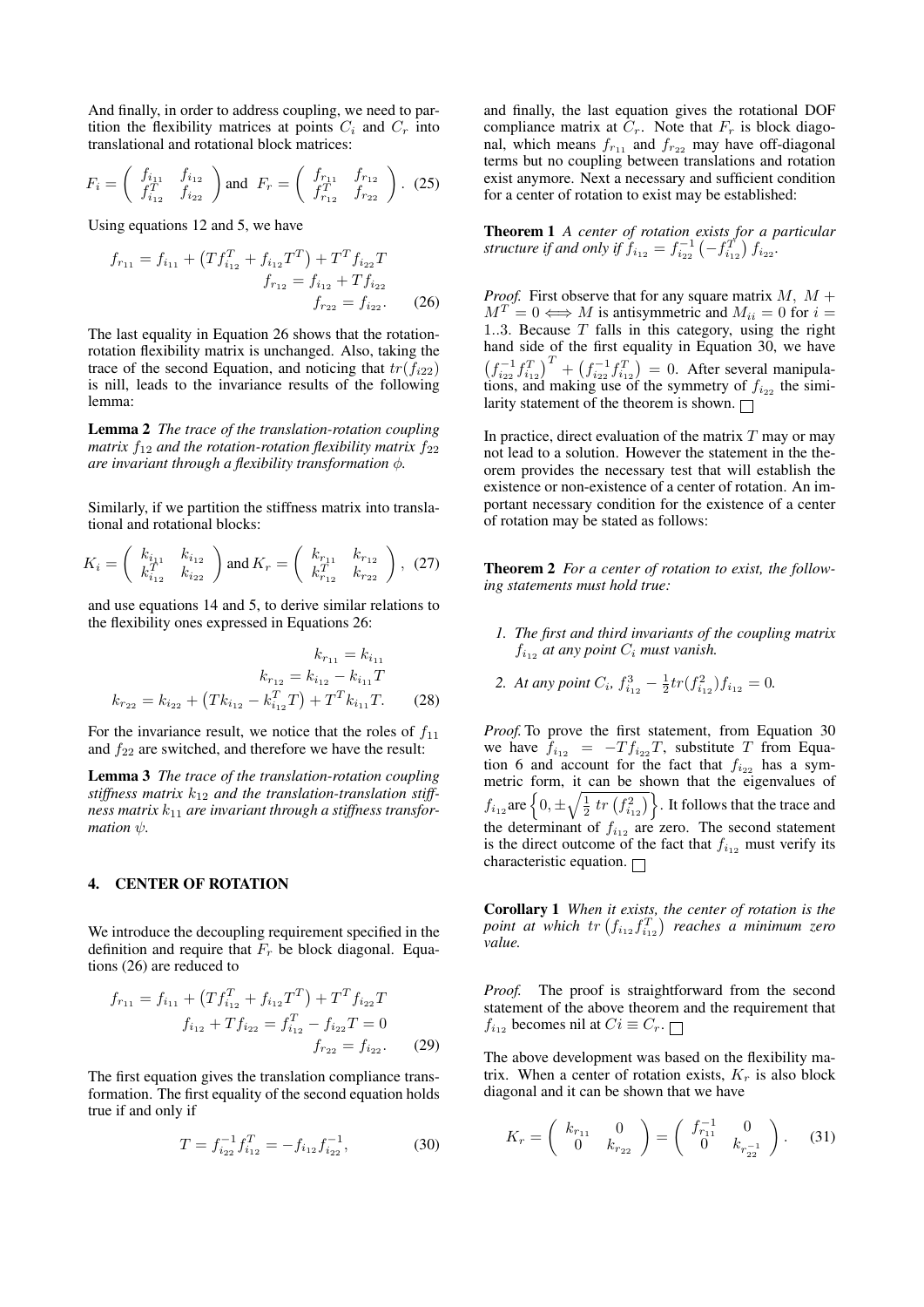And finally, in order to address coupling, we need to partition the flexibility matrices at points  $C_i$  and  $C_r$  into translational and rotational block matrices:

$$
F_i = \begin{pmatrix} f_{i_{11}} & f_{i_{12}} \\ f_{i_{12}}^T & f_{i_{22}} \end{pmatrix} \text{ and } F_r = \begin{pmatrix} f_{r_{11}} & f_{r_{12}} \\ f_{r_{12}}^T & f_{r_{22}} \end{pmatrix} . \tag{25}
$$

Using equations 12 and 5, we have

$$
f_{r_{11}} = f_{i_{11}} + \left( T f_{i_{12}}^T + f_{i_{12}} T^T \right) + T^T f_{i_{22}} T
$$
  

$$
f_{r_{12}} = f_{i_{12}} + T f_{i_{22}}
$$
  

$$
f_{r_{22}} = f_{i_{22}}.
$$
 (26)

The last equality in Equation 26 shows that the rotationrotation flexibility matrix is unchanged. Also, taking the trace of the second Equation, and noticing that  $tr(f_{i22})$ is nill, leads to the invariance results of the following lemma:

Lemma 2 *The trace of the translation-rotation coupling matrix*  $f_{12}$  *and the rotation-rotation flexibility matrix*  $f_{22}$ *are invariant through a flexibility transformation* φ*.*

Similarly, if we partition the stiffness matrix into translational and rotational blocks:

$$
K_i = \begin{pmatrix} k_{i_{11}} & k_{i_{12}} \\ k_{i_{12}}^T & k_{i_{22}} \end{pmatrix} \text{ and } K_r = \begin{pmatrix} k_{r_{11}} & k_{r_{12}} \\ k_{r_{12}}^T & k_{r_{22}} \end{pmatrix}, (27)
$$

and use equations 14 and 5, to derive similar relations to the flexibility ones expressed in Equations 26:

$$
k_{r_{11}} = k_{i_{11}}
$$

$$
k_{r_{12}} = k_{i_{12}} - k_{i_{11}}T
$$

$$
k_{r_{22}} = k_{i_{22}} + (Tk_{i_{12}} - k_{i_{12}}^T T) + T^T k_{i_{11}}T.
$$
 (28)

For the invariance result, we notice that the roles of  $f_{11}$ and  $f_{22}$  are switched, and therefore we have the result:

Lemma 3 *The trace of the translation-rotation coupling* stiffness matrix  $k_{12}$  and the translation-translation stiffness matrix  $k_{11}$  are invariant through a stiffness transfor*mation*  $\psi$ *.* 

### 4. CENTER OF ROTATION

We introduce the decoupling requirement specified in the definition and require that  $F_r$  be block diagonal. Equations (26) are reduced to

$$
f_{r_{11}} = f_{i_{11}} + \left(Tf_{i_{12}}^T + f_{i_{12}}T^T\right) + T^T f_{i_{22}}T
$$
  

$$
f_{i_{12}} + Tf_{i_{22}} = f_{i_{12}}^T - f_{i_{22}}T = 0
$$
  

$$
f_{r_{22}} = f_{i_{22}}.
$$
 (29)

The first equation gives the translation compliance transformation. The first equality of the second equation holds true if and only if

$$
T = f_{i_{22}}^{-1} f_{i_{12}}^T = -f_{i_{12}} f_{i_{22}}^{-1},
$$
 (30)

and finally, the last equation gives the rotational DOF compliance matrix at  $C_r$ . Note that  $F_r$  is block diagonal, which means  $f_{r_{11}}$  and  $f_{r_{22}}$  may have off-diagonal terms but no coupling between translations and rotation exist anymore. Next a necessary and sufficient condition for a center of rotation to exist may be established:

Theorem 1 *A center of rotation exists for a particular structure if and only if*  $f_{i_{12}} = f_{i_{22}}^{-1} \left(-f_{i_{12}}^T\right) f_{i_{22}}$ .

*Proof.* First observe that for any square matrix  $M$ ,  $M$  +  $M^T = 0 \Longleftrightarrow M$  is antisymmetric and  $M_{ii} = 0$  for  $i =$ 1..3. Because  $T$  falls in this category, using the right hand side of the first equality in Equation 30, we have  $(f_{i_{22}}^{-1}f_{i_{12}}^{T})^{T} + (f_{i_{22}}^{-1}f_{i_{12}}^{T}) = 0$ . After several manipulations, and making use of the symmetry of  $f_{i_{22}}$  the similarity statement of the theorem is shown.  $\Box$ 

In practice, direct evaluation of the matrix  $T$  may or may not lead to a solution. However the statement in the theorem provides the necessary test that will establish the existence or non-existence of a center of rotation. An important necessary condition for the existence of a center of rotation may be stated as follows:

Theorem 2 *For a center of rotation to exist, the following statements must hold true:*

- *1. The first and third invariants of the coupling matrix*  $f_{i_{12}}$  *at any point*  $C_i$  *must vanish.*
- 2. At any point  $C_i$ ,  $f_{i_{12}}^3 \frac{1}{2}tr(f_{i_{12}}^2)f_{i_{12}} = 0$ .

*Proof.* To prove the first statement, from Equation 30 we have  $f_{i_{12}} = -T f_{i_{22}} T$ , substitute T from Equation 6 and account for the fact that  $f_{i_{22}}$  has a symmetric form, it can be shown that the eigenvalues of  $f_{i_{12}}$  are  $\left\{0,\pm\sqrt{\frac{1}{2}tr\left(f_{i_{12}}^2\right)}\right\}$ . It follows that the trace and the determinant of  $f_{i_{12}}$  are zero. The second statement is the direct outcome of the fact that  $f_{i_{12}}$  must verify its characteristic equation.  $\Box$ 

Corollary 1 *When it exists, the center of rotation is the* point at which  $tr(f_{i_{12}}f_{i_{12}}^T)$  reaches a minimum zero *value.*

*Proof.* The proof is straightforward from the second statement of the above theorem and the requirement that  $f_{i_{12}}$  becomes nil at  $Ci \equiv C_r$ .

The above development was based on the flexibility matrix. When a center of rotation exists,  $K_r$  is also block diagonal and it can be shown that we have

$$
K_r = \left(\begin{array}{cc} k_{r_{11}} & 0\\ 0 & k_{r_{22}} \end{array}\right) = \left(\begin{array}{cc} f_{r_{11}}^{-1} & 0\\ 0 & k_{r_{22}}^{-1} \end{array}\right). \tag{31}
$$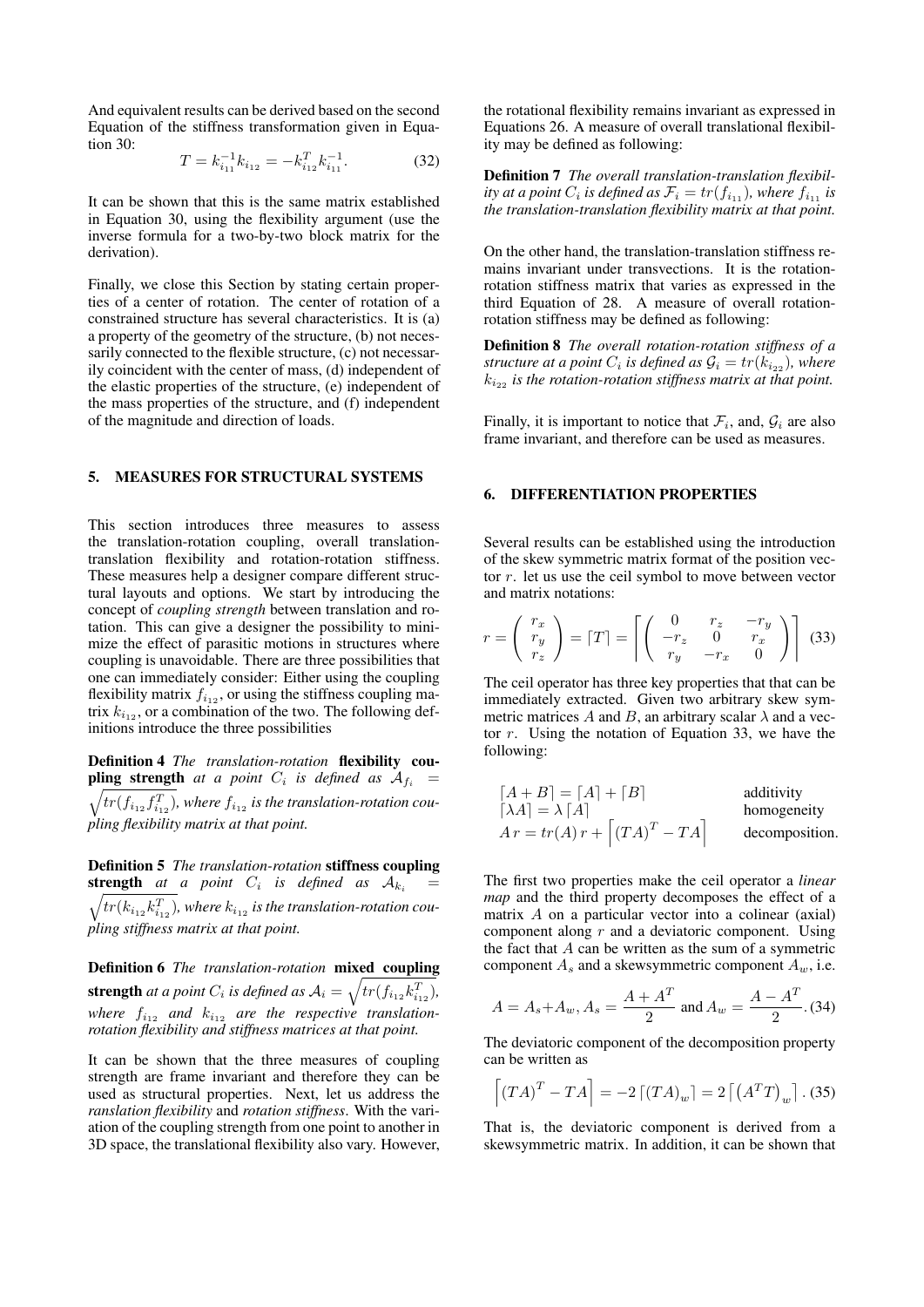And equivalent results can be derived based on the second Equation of the stiffness transformation given in Equation 30:

$$
T = k_{i_{11}}^{-1} k_{i_{12}} = -k_{i_{12}}^T k_{i_{11}}^{-1}.
$$
 (32)

It can be shown that this is the same matrix established in Equation 30, using the flexibility argument (use the inverse formula for a two-by-two block matrix for the derivation).

Finally, we close this Section by stating certain properties of a center of rotation. The center of rotation of a constrained structure has several characteristics. It is (a) a property of the geometry of the structure, (b) not necessarily connected to the flexible structure, (c) not necessarily coincident with the center of mass, (d) independent of the elastic properties of the structure, (e) independent of the mass properties of the structure, and (f) independent of the magnitude and direction of loads.

## 5. MEASURES FOR STRUCTURAL SYSTEMS

This section introduces three measures to assess the translation-rotation coupling, overall translationtranslation flexibility and rotation-rotation stiffness. These measures help a designer compare different structural layouts and options. We start by introducing the concept of *coupling strength* between translation and rotation. This can give a designer the possibility to minimize the effect of parasitic motions in structures where coupling is unavoidable. There are three possibilities that one can immediately consider: Either using the coupling flexibility matrix  $f_{i_{12}}$ , or using the stiffness coupling matrix  $k_{i_{12}}$ , or a combination of the two. The following definitions introduce the three possibilities

Definition 4 *The translation-rotation* flexibility cou**pling strength** at a point  $C_i$  is defined as  $A_{f_i}$  =  $\sqrt{tr(f_{i_{12}}f_{i_{12}}^T)}$ , where  $f_{i_{12}}$  is the translation-rotation cou*pling flexibility matrix at that point.*

Definition 5 *The translation-rotation* stiffness coupling **strength** at a point  $C_i$  is defined as  $A_{k_i}$  =  $\sqrt{tr(k_{i_{12}}k_{i_{12}}^T)}$ , where  $k_{i_{12}}$  is the translation-rotation cou*pling stiffness matrix at that point.*

Definition 6 *The translation-rotation* mixed coupling **strength** at a point  $C_i$  is defined as  $A_i = \sqrt{tr(f_{i_{12}}k_{i_{12}}^T)}$ , where  $f_{i_{12}}$  and  $k_{i_{12}}$  are the respective translation*rotation flexibility and stiffness matrices at that point.*

It can be shown that the three measures of coupling strength are frame invariant and therefore they can be used as structural properties. Next, let us address the *ranslation flexibility* and *rotation stiffness*. With the variation of the coupling strength from one point to another in 3D space, the translational flexibility also vary. However, the rotational flexibility remains invariant as expressed in Equations 26. A measure of overall translational flexibility may be defined as following:

Definition 7 *The overall translation-translation flexibility at a point*  $C_i$  *is defined as*  $\mathcal{F}_i = tr(f_{i_{11}})$ *, where*  $f_{i_{11}}$  *is the translation-translation flexibility matrix at that point.*

On the other hand, the translation-translation stiffness remains invariant under transvections. It is the rotationrotation stiffness matrix that varies as expressed in the third Equation of 28. A measure of overall rotationrotation stiffness may be defined as following:

Definition 8 *The overall rotation-rotation stiffness of a structure at a point*  $C_i$  *is defined as*  $\mathcal{G}_i = tr(k_{i_{22}})$ *, where*  $k_{i_{22}}$  *is the rotation-rotation stiffness matrix at that point.* 

Finally, it is important to notice that  $\mathcal{F}_i$ , and,  $\mathcal{G}_i$  are also frame invariant, and therefore can be used as measures.

# 6. DIFFERENTIATION PROPERTIES

Several results can be established using the introduction of the skew symmetric matrix format of the position vector r. let us use the ceil symbol to move between vector and matrix notations:

$$
r = \left(\begin{array}{c} r_x \\ r_y \\ r_z \end{array}\right) = \left[T\right] = \left[\left(\begin{array}{ccc} 0 & r_z & -r_y \\ -r_z & 0 & r_x \\ r_y & -r_x & 0 \end{array}\right)\right]
$$
(33)

The ceil operator has three key properties that that can be immediately extracted. Given two arbitrary skew symmetric matrices A and B, an arbitrary scalar  $\lambda$  and a vector r. Using the notation of Equation 33, we have the following:

$$
[A + B] = [A] + [B]
$$
additivity  
\n
$$
[ \lambda A] = \lambda [A]
$$
homogeneity  
\n
$$
A r = tr(A) r + [(TA)^{T} - TA]
$$
 decomposition.

The first two properties make the ceil operator a *linear map* and the third property decomposes the effect of a matrix A on a particular vector into a colinear (axial) component along  $r$  and a deviatoric component. Using the fact that  $A$  can be written as the sum of a symmetric component  $A_s$  and a skewsymmetric component  $A_w$ , i.e.

$$
A = A_s + A_w, A_s = \frac{A + A^T}{2} \text{ and } A_w = \frac{A - A^T}{2}.
$$
 (34)

The deviatoric component of the decomposition property can be written as

$$
\left[ (TA)^{T} - TA \right] = -2 \left[ (TA)_{w} \right] = 2 \left[ \left( A^{T}T \right)_{w} \right]. (35)
$$

That is, the deviatoric component is derived from a skewsymmetric matrix. In addition, it can be shown that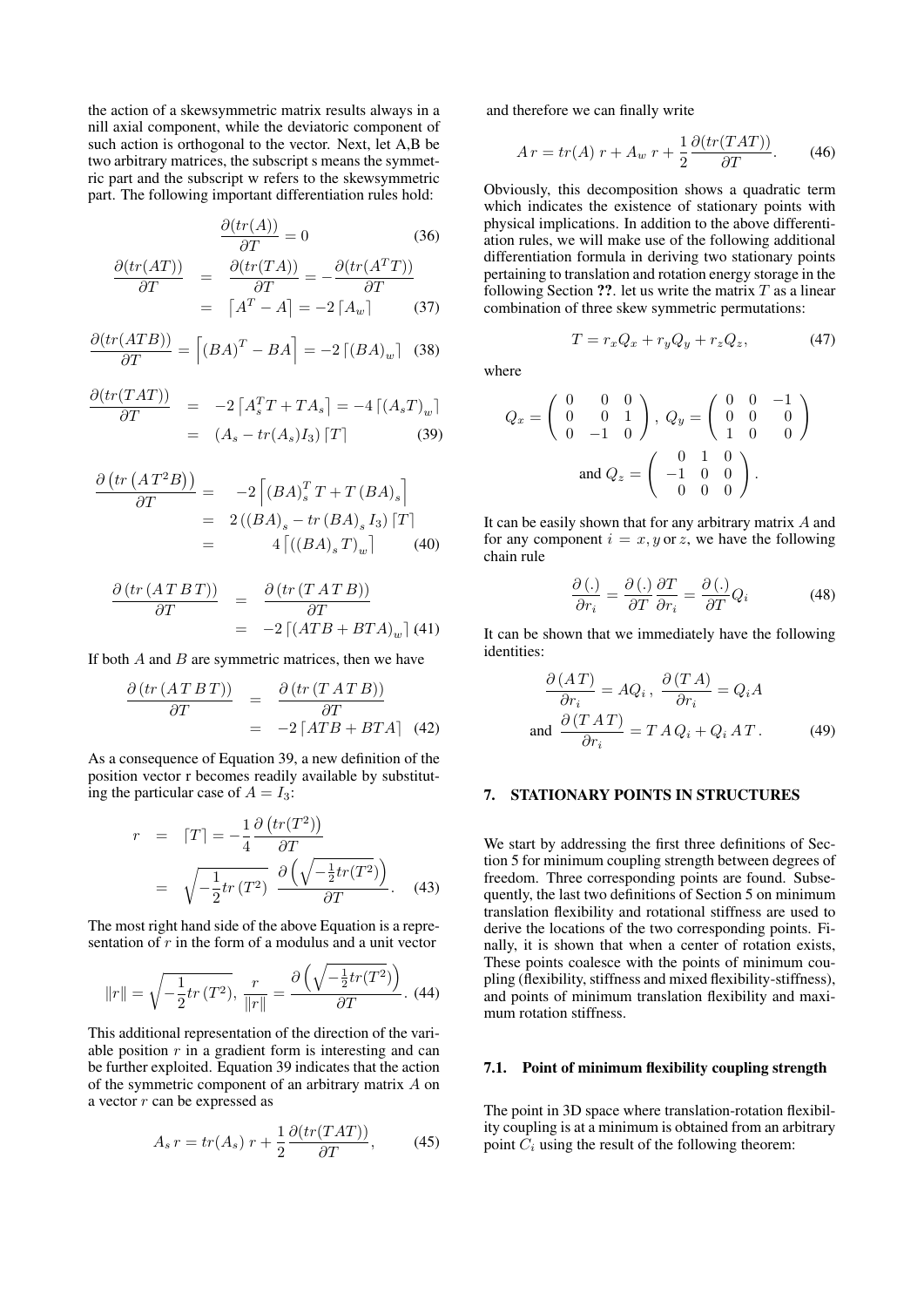the action of a skewsymmetric matrix results always in a nill axial component, while the deviatoric component of such action is orthogonal to the vector. Next, let A,B be two arbitrary matrices, the subscript s means the symmetric part and the subscript w refers to the skewsymmetric part. The following important differentiation rules hold:

$$
\frac{\partial (tr(A))}{\partial T} = 0 \tag{36}
$$

$$
\frac{\partial (tr(AT))}{\partial T} = \frac{\partial (tr(TA))}{\partial T} = -\frac{\partial (tr(A^T T))}{\partial T}
$$

$$
= [A^T - A] = -2[A_w]
$$
(37)

$$
\frac{\partial (tr(ATB))}{\partial T} = \left[ (BA)^{T} - BA \right] = -2 \left[ (BA)_{w} \right] \tag{38}
$$

$$
\frac{\partial (tr(TAT))}{\partial T} = -2 \left[ A_s^T T + T A_s \right] = -4 \left[ (A_s T)_w \right]
$$

$$
= (A_s - tr(A_s) I_3) \left[ T \right] \tag{39}
$$

$$
\frac{\partial (tr (AT^2B))}{\partial T} = -2 \left[ (BA)_s^T T + T (BA)_s \right]
$$
  
= 2 ((BA)\_s - tr (BA)\_s I\_3) [T]  
= 4 [(BA)\_s T)\_w (40)

$$
\frac{\partial (tr (ATBT))}{\partial T} = \frac{\partial (tr (TATB))}{\partial T}
$$
  
= -2 [(ATB + BTA)<sub>w</sub>] (41)

If both  $A$  and  $B$  are symmetric matrices, then we have

$$
\frac{\partial \left( tr \left( AT \, BT \right) \right)}{\partial T} = \frac{\partial \left( tr \left( T \, AT \, B \right) \right)}{\partial T} = -2 \left[ ATB + BTA \right] \tag{42}
$$

As a consequence of Equation 39, a new definition of the position vector r becomes readily available by substituting the particular case of  $A = I_3$ :

$$
r = [T] = -\frac{1}{4} \frac{\partial \left( tr(T^2) \right)}{\partial T}
$$

$$
= \sqrt{-\frac{1}{2} tr(T^2)} \frac{\partial \left( \sqrt{-\frac{1}{2} tr(T^2)} \right)}{\partial T}.
$$
(43)

The most right hand side of the above Equation is a representation of  $r$  in the form of a modulus and a unit vector

$$
||r|| = \sqrt{-\frac{1}{2}tr(T^2)}, \frac{r}{||r||} = \frac{\partial \left(\sqrt{-\frac{1}{2}tr(T^2)}\right)}{\partial T}.
$$
 (44)

This additional representation of the direction of the variable position  $r$  in a gradient form is interesting and can be further exploited. Equation 39 indicates that the action of the symmetric component of an arbitrary matrix A on a vector  $r$  can be expressed as

$$
A_s r = tr(A_s) r + \frac{1}{2} \frac{\partial (tr(TAT))}{\partial T}, \qquad (45)
$$

and therefore we can finally write

$$
Ar = tr(A) r + A_w r + \frac{1}{2} \frac{\partial (tr(TAT))}{\partial T}.
$$
 (46)

Obviously, this decomposition shows a quadratic term which indicates the existence of stationary points with physical implications. In addition to the above differentiation rules, we will make use of the following additional differentiation formula in deriving two stationary points pertaining to translation and rotation energy storage in the following Section ??. let us write the matrix  $T$  as a linear combination of three skew symmetric permutations:

$$
T = r_x Q_x + r_y Q_y + r_z Q_z, \qquad (47)
$$

where

$$
Q_x = \begin{pmatrix} 0 & 0 & 0 \\ 0 & 0 & 1 \\ 0 & -1 & 0 \end{pmatrix}, \ Q_y = \begin{pmatrix} 0 & 0 & -1 \\ 0 & 0 & 0 \\ 1 & 0 & 0 \end{pmatrix}
$$
  
and 
$$
Q_z = \begin{pmatrix} 0 & 1 & 0 \\ -1 & 0 & 0 \\ 0 & 0 & 0 \end{pmatrix}.
$$

It can be easily shown that for any arbitrary matrix  $A$  and for any component  $i = x, y$  or z, we have the following chain rule

$$
\frac{\partial\left(\cdot\right)}{\partial r_{i}} = \frac{\partial\left(\cdot\right)}{\partial T} \frac{\partial T}{\partial r_{i}} = \frac{\partial\left(\cdot\right)}{\partial T} Q_{i}
$$
(48)

It can be shown that we immediately have the following identities:

$$
\frac{\partial (AT)}{\partial r_i} = AQ_i, \quad \frac{\partial (TA)}{\partial r_i} = Q_iA
$$
  
and 
$$
\frac{\partial (TAT)}{\partial r_i} = TAQ_i + Q_iAT.
$$
 (49)

### 7. STATIONARY POINTS IN STRUCTURES

We start by addressing the first three definitions of Section 5 for minimum coupling strength between degrees of freedom. Three corresponding points are found. Subsequently, the last two definitions of Section 5 on minimum translation flexibility and rotational stiffness are used to derive the locations of the two corresponding points. Finally, it is shown that when a center of rotation exists, These points coalesce with the points of minimum coupling (flexibility, stiffness and mixed flexibility-stiffness), and points of minimum translation flexibility and maximum rotation stiffness.

### 7.1. Point of minimum flexibility coupling strength

The point in 3D space where translation-rotation flexibility coupling is at a minimum is obtained from an arbitrary point  $C_i$  using the result of the following theorem: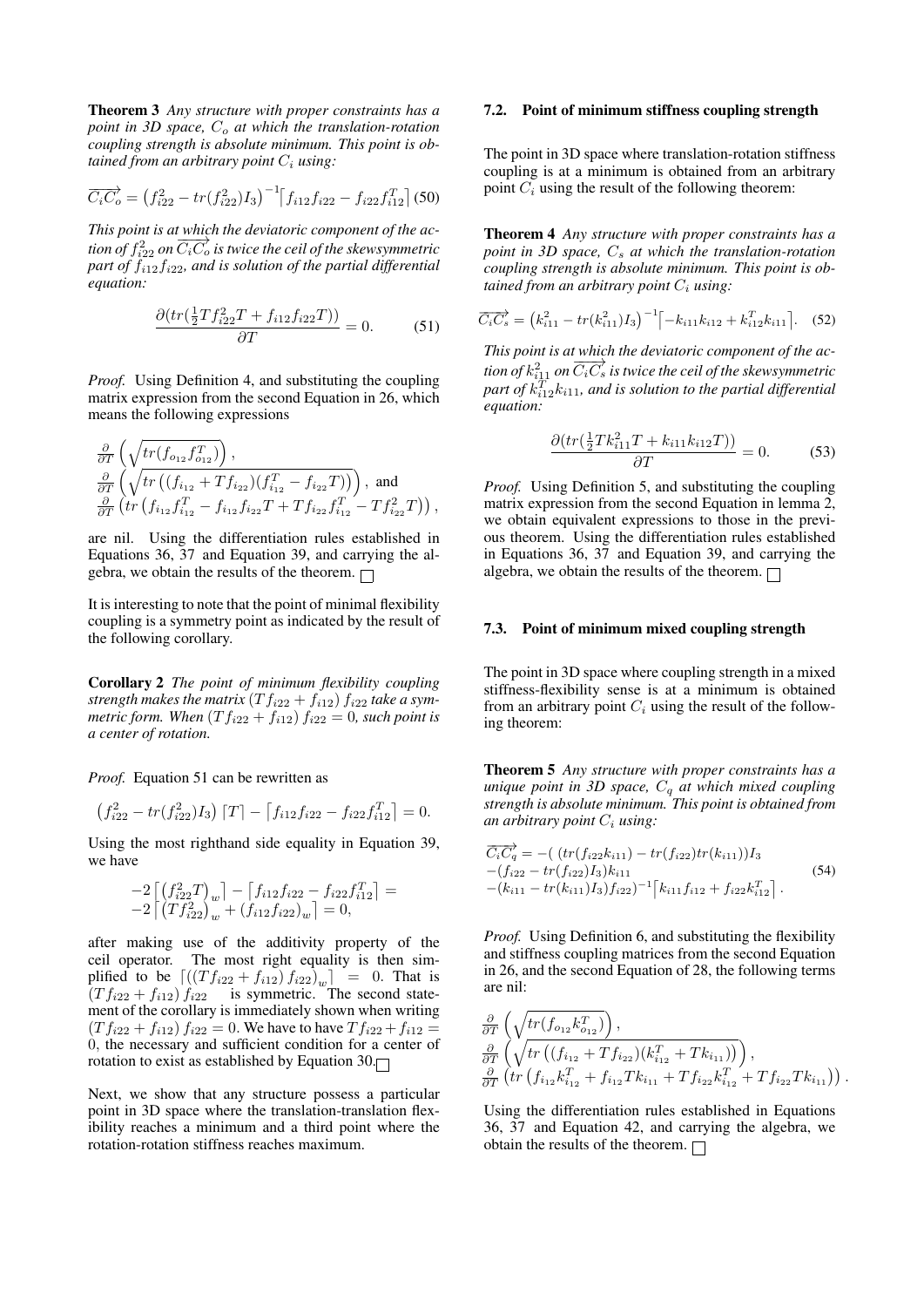Theorem 3 *Any structure with proper constraints has a point in 3D space,*  $C<sub>o</sub>$  *at which the translation-rotation coupling strength is absolute minimum. This point is obtained from an arbitrary point*  $C_i$  *using:* 

$$
\overrightarrow{C_i C_o} = (f_{i22}^2 - tr(f_{i22}^2)I_3)^{-1} [f_{i12}f_{i22} - f_{i22}f_{i12}^T] (50)
$$

*This point is at which the deviatoric component of the acthis point is at which the acylitoric component of the skewsymmetric part of* fi12fi22*, and is solution of the partial differential equation:*

$$
\frac{\partial (tr(\frac{1}{2}T f_{i22}^2 T + f_{i12} f_{i22} T))}{\partial T} = 0.
$$
 (51)

*Proof.* Using Definition 4, and substituting the coupling matrix expression from the second Equation in 26, which means the following expressions

$$
\frac{\partial}{\partial T}\left(\sqrt{tr(f_{o_{12}}f_{o_{12}}^T)}\right),\newline\frac{\partial}{\partial T}\left(\sqrt{tr\left((f_{i_{12}}+Tf_{i_{22}})(f_{i_{12}}^T-f_{i_{22}}T)\right)}\right), \text{ and} \\\frac{\partial}{\partial T}\left(tr\left(f_{i_{12}}f_{i_{12}}^T-f_{i_{12}}f_{i_{22}}T+Tf_{i_{22}}f_{i_{12}}^T-Tf_{i_{22}}^2T\right)\right),
$$

are nil. Using the differentiation rules established in Equations 36, 37 and Equation 39, and carrying the algebra, we obtain the results of the theorem.  $\Box$ 

It is interesting to note that the point of minimal flexibility coupling is a symmetry point as indicated by the result of the following corollary.

Corollary 2 *The point of minimum flexibility coupling* strength makes the matrix  $(Tf_{i22} + f_{i12}) f_{i22}$  take a sym*metric form. When*  $(Tf_{i22} + f_{i12}) f_{i22} = 0$ *, such point is a center of rotation.*

*Proof.* Equation 51 can be rewritten as

$$
\left(f_{i22}^2 - tr(f_{i22}^2)I_3\right)\left[T\right] - \left[f_{i12}f_{i22} - f_{i22}f_{i12}^T\right] = 0.
$$

Using the most righthand side equality in Equation 39, we have

$$
\begin{array}{l}\n-2\left[ (f_{i22}^2 T)_{w}\right] - \left[ f_{i12} f_{i22} - f_{i22} f_{i12}^T \right] = \\
-2\left[ (T f_{i22}^2)_{w} + (f_{i12} f_{i22})_{w} \right] = 0,\n\end{array}
$$

after making use of the additivity property of the ceil operator. The most right equality is then simplified to be  $\left[ ((T f_{i22} + f_{i12}) f_{i22})_{w} \right] = 0$ . That is  $(T f_{i22} + f_{i12}) f_{i22}$  is symmetric. The second statement of the corollary is immediately shown when writing  $(T f_{i22} + f_{i12}) f_{i22} = 0$ . We have to have  $T f_{i22} + f_{i12} =$ 0, the necessary and sufficient condition for a center of rotation to exist as established by Equation  $30$ .

Next, we show that any structure possess a particular point in 3D space where the translation-translation flexibility reaches a minimum and a third point where the rotation-rotation stiffness reaches maximum.

### 7.2. Point of minimum stiffness coupling strength

The point in 3D space where translation-rotation stiffness coupling is at a minimum is obtained from an arbitrary point  $C_i$  using the result of the following theorem:

Theorem 4 *Any structure with proper constraints has a point in 3D space,*  $C_s$  *at which the translation-rotation coupling strength is absolute minimum. This point is obtained from an arbitrary point*  $C_i$  *using:* 

$$
\overrightarrow{C_i C_s} = \left(k_{i11}^2 - tr(k_{i11}^2)I_3\right)^{-1} \left[-k_{i11}k_{i12} + k_{i12}^T k_{i11}\right].
$$
 (52)

*This point is at which the deviatoric component of the acthis point is at which the acylitoric component of the skewsymmetric* part of  $k_{i12}^T k_{i11}$ , and is solution to the partial differential *equation:*

$$
\frac{\partial (tr(\frac{1}{2}Tk_{i11}^2T + k_{i11}k_{i12}T))}{\partial T} = 0.
$$
 (53)

*Proof.* Using Definition 5, and substituting the coupling matrix expression from the second Equation in lemma 2, we obtain equivalent expressions to those in the previous theorem. Using the differentiation rules established in Equations 36, 37 and Equation 39, and carrying the algebra, we obtain the results of the theorem.  $\Box$ 

#### 7.3. Point of minimum mixed coupling strength

The point in 3D space where coupling strength in a mixed stiffness-flexibility sense is at a minimum is obtained from an arbitrary point  $C_i$  using the result of the following theorem:

Theorem 5 *Any structure with proper constraints has a unique point in 3D space,*  $C_q$  *at which mixed coupling strength is absolute minimum. This point is obtained from an arbitrary point*  $C_i$  *using:* 

$$
\overrightarrow{C_i C_q'} = -(\left( tr(f_{i22}k_{i11}) - tr(f_{i22})tr(k_{i11}) \right)I_3 \n- (f_{i22} - tr(f_{i22})I_3)k_{i11} \n- (k_{i11} - tr(k_{i11})I_3) f_{i22})^{-1} \left[ k_{i11}f_{i12} + f_{i22}k_{i12}^T \right].
$$
\n(54)

*Proof.* Using Definition 6, and substituting the flexibility and stiffness coupling matrices from the second Equation in 26, and the second Equation of 28, the following terms are nil:

$$
\frac{\partial}{\partial T}\left(\sqrt{tr(f_{o_{12}}k_{o_{12}}^T)}\right),\newline\frac{\partial}{\partial T}\left(\sqrt{tr\left((f_{i_{12}}+Tf_{i_{22}})(k_{i_{12}}^T+Tk_{i_{11}})\right)}\right),\newline\frac{\partial}{\partial T}\left(tr\left(f_{i_{12}}k_{i_{12}}^T+f_{i_{12}}Tk_{i_{11}}+Tf_{i_{22}}k_{i_{12}}^T+Tf_{i_{22}}Tk_{i_{11}}\right)\right).
$$

Using the differentiation rules established in Equations 36, 37 and Equation 42, and carrying the algebra, we obtain the results of the theorem.  $\Box$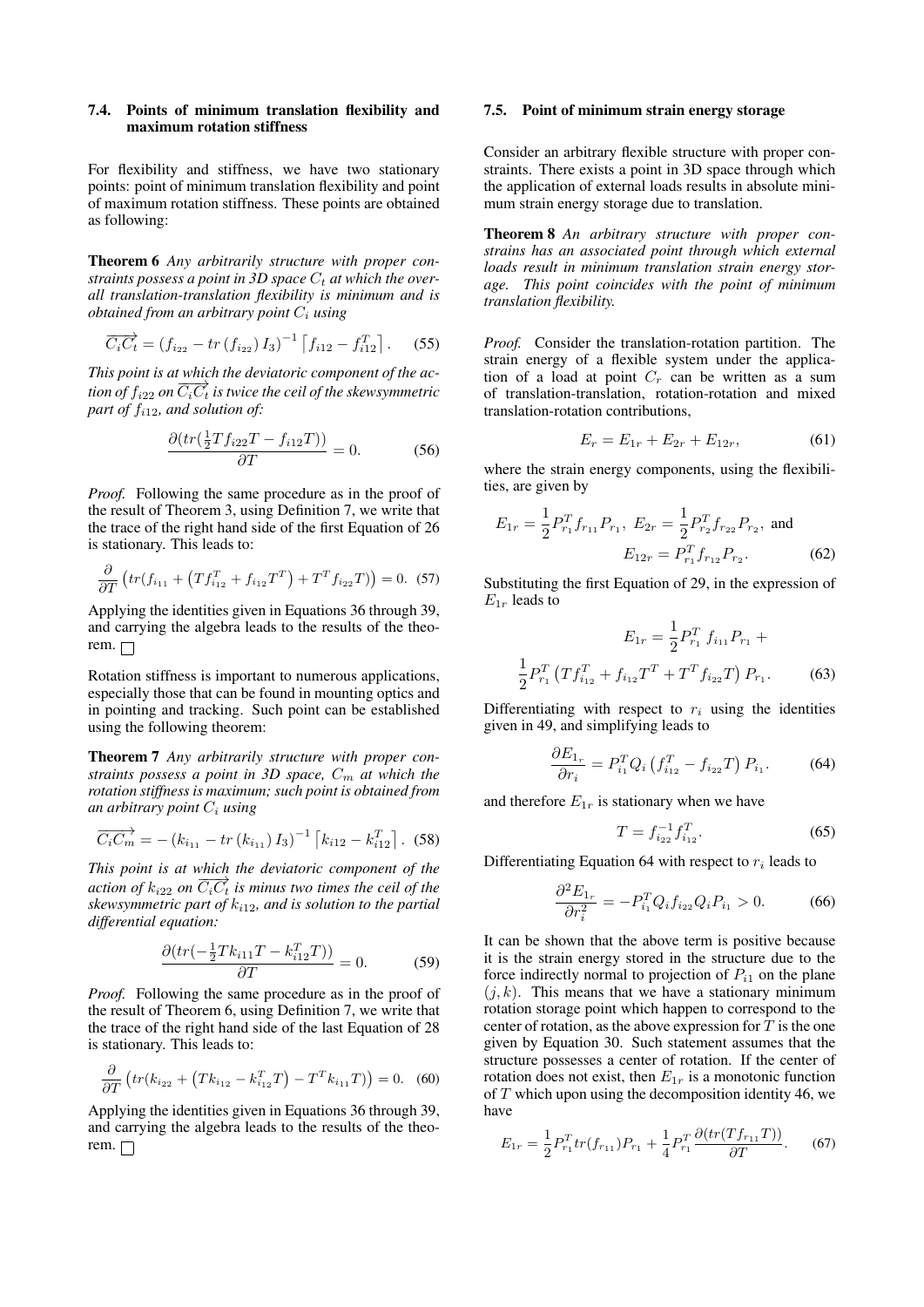## 7.4. Points of minimum translation flexibility and maximum rotation stiffness

For flexibility and stiffness, we have two stationary points: point of minimum translation flexibility and point of maximum rotation stiffness. These points are obtained as following:

Theorem 6 *Any arbitrarily structure with proper con*straints possess a point in  $3D$  space  $C_t$  at which the over*all translation-translation flexibility is minimum and is obtained from an arbitrary point* C<sup>i</sup> *using*

$$
\overrightarrow{C_i C_t} = (f_{i_{22}} - tr(f_{i_{22}}) I_3)^{-1} \left[ f_{i_{12}} - f_{i_{12}}^T \right].
$$
 (55)

*This point is at which the deviatoric component of the acthis point is at mixed the derivalence component by the de-*<br>tion of  $f_{i22}$  on  $\overline{C_iC_t}$  is twice the ceil of the skewsymmetric *part of*  $f_{i12}$ *, and solution of:* 

$$
\frac{\partial (tr(\frac{1}{2}Tf_{i22}T - f_{i12}T))}{\partial T} = 0.
$$
 (56)

*Proof.* Following the same procedure as in the proof of the result of Theorem 3, using Definition 7, we write that the trace of the right hand side of the first Equation of 26 is stationary. This leads to:

$$
\frac{\partial}{\partial T}\left(tr(f_{i_{11}} + \left(Tf_{i_{12}}^T + f_{i_{12}}T^T\right) + T^T f_{i_{22}}T)\right) = 0.
$$
 (57)

Applying the identities given in Equations 36 through 39, and carrying the algebra leads to the results of the theorem.  $\Box$ 

Rotation stiffness is important to numerous applications, especially those that can be found in mounting optics and in pointing and tracking. Such point can be established using the following theorem:

Theorem 7 *Any arbitrarily structure with proper constraints possess a point in 3D space,*  $C_m$  *at which the rotation stiffness is maximum; such point is obtained from an arbitrary point* C<sup>i</sup> *using*

$$
\overrightarrow{C_i C_m} = -(k_{i_{11}} - tr(k_{i_{11}}) I_3)^{-1} [k_{i12} - k_{i12}^T].
$$
 (58)

*This point is at which the deviatoric component of the action of*  $k_{i22}$  *on*  $\overline{C_iC_t}$  *is minus two times the ceil of the skewsymmetric part of* ki12*, and is solution to the partial differential equation:*

$$
\frac{\partial (tr(-\frac{1}{2}Tk_{i11}T - k_{i12}^T T))}{\partial T} = 0.
$$
 (59)

*Proof.* Following the same procedure as in the proof of the result of Theorem 6, using Definition 7, we write that the trace of the right hand side of the last Equation of 28 is stationary. This leads to:

$$
\frac{\partial}{\partial T}\left(tr(k_{i_{22}} + (Tk_{i_{12}} - k_{i_{12}}^T T) - T^T k_{i_{11}} T)\right) = 0. \quad (60)
$$

Applying the identities given in Equations 36 through 39, and carrying the algebra leads to the results of the theorem.  $\Box$ 

### 7.5. Point of minimum strain energy storage

Consider an arbitrary flexible structure with proper constraints. There exists a point in 3D space through which the application of external loads results in absolute minimum strain energy storage due to translation.

Theorem 8 *An arbitrary structure with proper constrains has an associated point through which external loads result in minimum translation strain energy storage. This point coincides with the point of minimum translation flexibility.*

*Proof.* Consider the translation-rotation partition. The strain energy of a flexible system under the application of a load at point  $C_r$  can be written as a sum of translation-translation, rotation-rotation and mixed translation-rotation contributions,

$$
E_r = E_{1r} + E_{2r} + E_{12r}, \t\t(61)
$$

where the strain energy components, using the flexibilities, are given by

$$
E_{1r} = \frac{1}{2} P_{r_1}^T f_{r_{11}} P_{r_1}, E_{2r} = \frac{1}{2} P_{r_2}^T f_{r_{22}} P_{r_2}, \text{ and}
$$

$$
E_{12r} = P_{r_1}^T f_{r_{12}} P_{r_2}.
$$
 (62)

Substituting the first Equation of 29, in the expression of  $E_{1r}$  leads to

$$
E_{1r} = \frac{1}{2} P_{r_1}^T f_{i_{11}} P_{r_1} +
$$

$$
\frac{1}{2} P_{r_1}^T (T f_{i_{12}}^T + f_{i_{12}} T^T + T^T f_{i_{22}} T) P_{r_1}.
$$
 (63)

Differentiating with respect to  $r_i$  using the identities given in 49, and simplifying leads to

$$
\frac{\partial E_{1_r}}{\partial r_i} = P_{i_1}^T Q_i \left( f_{i_{12}}^T - f_{i_{22}} T \right) P_{i_1}.
$$
 (64)

and therefore  $E_{1r}$  is stationary when we have

$$
T = f_{i_{22}}^{-1} f_{i_{12}}^T.
$$
 (65)

Differentiating Equation 64 with respect to  $r_i$  leads to

$$
\frac{\partial^2 E_{1_r}}{\partial r_i^2} = -P_{i_1}^T Q_i f_{i_{22}} Q_i P_{i_1} > 0.
$$
 (66)

It can be shown that the above term is positive because it is the strain energy stored in the structure due to the force indirectly normal to projection of  $P_{i1}$  on the plane  $(j, k)$ . This means that we have a stationary minimum rotation storage point which happen to correspond to the center of rotation, as the above expression for  $T$  is the one given by Equation 30. Such statement assumes that the structure possesses a center of rotation. If the center of rotation does not exist, then  $E_{1r}$  is a monotonic function of  $T$  which upon using the decomposition identity 46, we have

$$
E_{1r} = \frac{1}{2} P_{r_1}^T tr(f_{r_{11}}) P_{r_1} + \frac{1}{4} P_{r_1}^T \frac{\partial (tr(Tf_{r_{11}}T))}{\partial T}.
$$
 (67)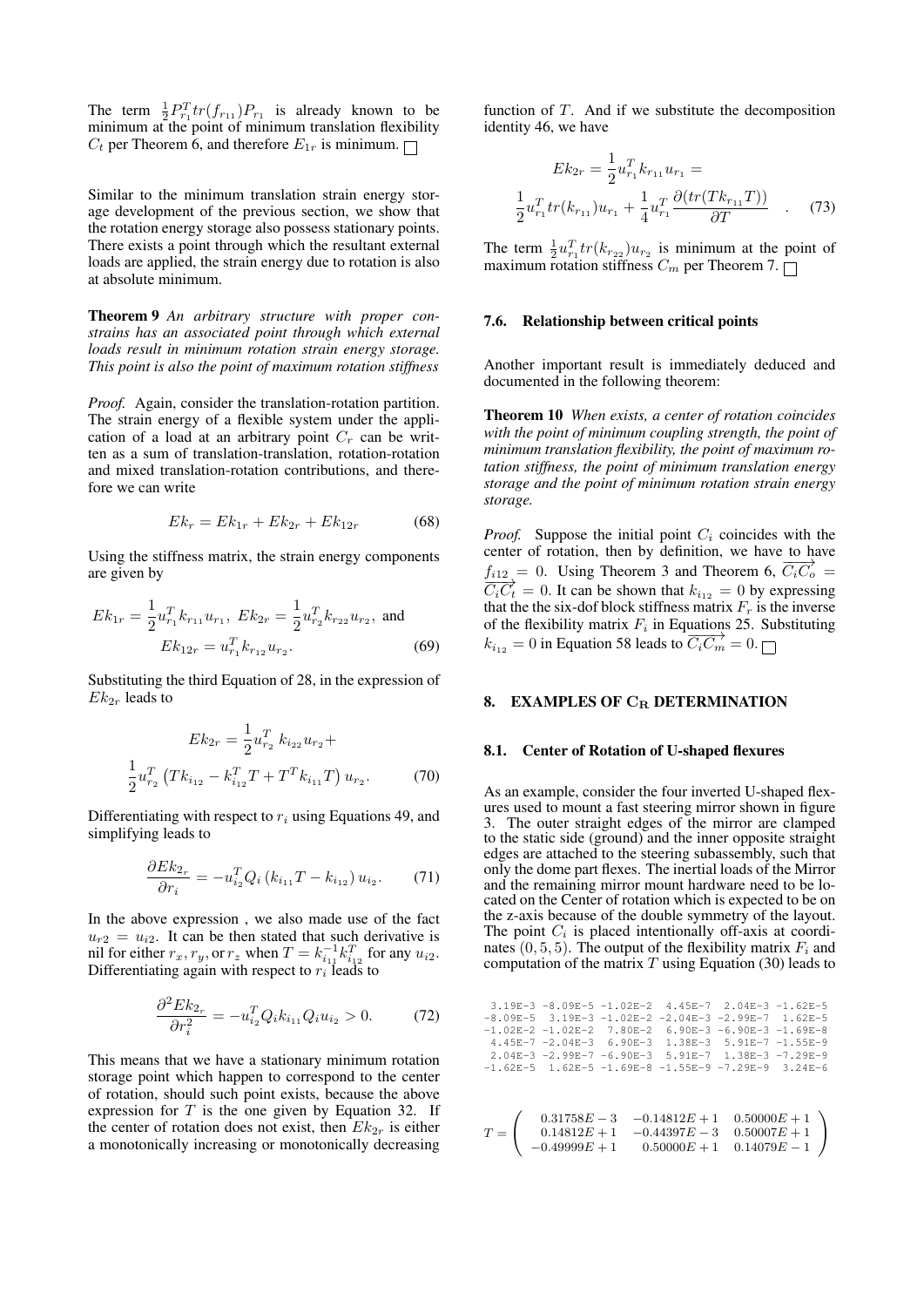The term  $\frac{1}{2} P_{r_1}^T tr(f_{r_{11}}) P_{r_1}$  is already known to be minimum at the point of minimum translation flexibility  $C_t$  per Theorem 6, and therefore  $E_{1r}$  is minimum.  $\Box$ 

Similar to the minimum translation strain energy storage development of the previous section, we show that the rotation energy storage also possess stationary points. There exists a point through which the resultant external loads are applied, the strain energy due to rotation is also at absolute minimum.

Theorem 9 *An arbitrary structure with proper constrains has an associated point through which external loads result in minimum rotation strain energy storage. This point is also the point of maximum rotation stiffness*

*Proof.* Again, consider the translation-rotation partition. The strain energy of a flexible system under the application of a load at an arbitrary point  $C_r$  can be written as a sum of translation-translation, rotation-rotation and mixed translation-rotation contributions, and therefore we can write

$$
Ek_r = Ek_{1r} + Ek_{2r} + Ek_{12r}
$$
 (68)

Using the stiffness matrix, the strain energy components are given by

$$
Ek_{1r} = \frac{1}{2} u_{r_1}^T k_{r_{11}} u_{r_1}, Ek_{2r} = \frac{1}{2} u_{r_2}^T k_{r_{22}} u_{r_2}, \text{ and}
$$
  

$$
Ek_{12r} = u_{r_1}^T k_{r_{12}} u_{r_2}.
$$
 (69)

Substituting the third Equation of 28, in the expression of  $Ek_{2r}$  leads to

$$
Ek_{2r} = \frac{1}{2} u_{r_2}^T k_{i_{22}} u_{r_2} +
$$

$$
\frac{1}{2} u_{r_2}^T (Tk_{i_{12}} - k_{i_{12}}^T T + T^T k_{i_{11}} T) u_{r_2}.
$$
 (70)

Differentiating with respect to  $r_i$  using Equations 49, and simplifying leads to

$$
\frac{\partial E k_{2r}}{\partial r_i} = -u_{i_2}^T Q_i \left( k_{i_{11}} T - k_{i_{12}} \right) u_{i_2}.
$$
 (71)

In the above expression , we also made use of the fact  $u_{r2} = u_{i2}$ . It can be then stated that such derivative is nil for either  $r_x, r_y,$  or  $r_z$  when  $T = k_{i_1}^{-1} k_{i_1}^T$  for any  $u_{i_2}$ . Differentiating again with respect to  $r_i$  leads to

$$
\frac{\partial^2 Ek_{2r}}{\partial r_i^2} = -u_{i_2}^T Q_i k_{i_{11}} Q_i u_{i_2} > 0.
$$
 (72)

This means that we have a stationary minimum rotation storage point which happen to correspond to the center of rotation, should such point exists, because the above expression for  $T$  is the one given by Equation 32. If the center of rotation does not exist, then  $Ek_{2r}$  is either a monotonically increasing or monotonically decreasing

function of T. And if we substitute the decomposition identity 46, we have

$$
Ek_{2r} = \frac{1}{2} u_{r_1}^T k_{r_{11}} u_{r_1} =
$$
  

$$
u_{r_1}^T tr(k_{r_{11}}) u_{r_1} + \frac{1}{4} u_{r_1}^T \frac{\partial (tr(Tk_{r_{11}}T))}{\partial T} \quad . \quad (73)
$$

The term  $\frac{1}{2}u_{r_1}^T t r(k_{r_{22}})u_{r_2}$  is minimum at the point of maximum rotation stiffness  $C_m$  per Theorem 7.

#### 7.6. Relationship between critical points

1 2

Another important result is immediately deduced and documented in the following theorem:

Theorem 10 *When exists, a center of rotation coincides with the point of minimum coupling strength, the point of minimum translation flexibility, the point of maximum rotation stiffness, the point of minimum translation energy storage and the point of minimum rotation strain energy storage.*

*Proof.* Suppose the initial point  $C_i$  coincides with the center of rotation, then by definition, we have to have  $f_{i12} = 0$ . Using Theorem 3 and Theorem 6,  $\overrightarrow{C_i C_o} =$  $\overrightarrow{C_iC_t} = 0$ . It can be shown that  $k_{i_{12}} = 0$  by expressing that the the six-dof block stiffness matrix  $F_r$  is the inverse of the flexibility matrix  $F_i$  in Equations 25. Substituting  $k_{i_{12}} = 0$  in Equation 58 leads to  $\overrightarrow{C_i C_m} = 0.$   $\Box$ 

### 8. EXAMPLES OF  $C_R$  DETERMINATION

#### 8.1. Center of Rotation of U-shaped flexures

As an example, consider the four inverted U-shaped flexures used to mount a fast steering mirror shown in figure 3. The outer straight edges of the mirror are clamped to the static side (ground) and the inner opposite straight edges are attached to the steering subassembly, such that only the dome part flexes. The inertial loads of the Mirror and the remaining mirror mount hardware need to be located on the Center of rotation which is expected to be on the z-axis because of the double symmetry of the layout. The point  $C_i$  is placed intentionally off-axis at coordinates  $(0, 5, 5)$ . The output of the flexibility matrix  $F_i$  and computation of the matrix  $T$  using Equation (30) leads to

|  | $3.19E-3 - 8.09E-5 -1.02E-2$ 4.45E-7 2.04E-3 -1.62E-5<br>$-8.09E-5$ 3.19E-3 -1.02E-2 -2.04E-3 -2.99E-7 1.62E-5<br>$-1.02E-2 -1.02E-2$ 7.80E-2 6.90E-3 -6.90E-3 -1.69E-8<br>$4.45E-7$ -2.04E-3 6.90E-3 1.38E-3 5.91E-7 -1.55E-9<br>$2.04E-3 - 2.99E-7 - 6.90E-3 5.91E-7 1.38E-3 - 7.29E-9$<br>$-1.62E-5$ 1.62E-5 $-1.69E-8$ $-1.55E-9$ $-7.29E-9$ 3.24E-6 |  |
|--|----------------------------------------------------------------------------------------------------------------------------------------------------------------------------------------------------------------------------------------------------------------------------------------------------------------------------------------------------------|--|
|  | $T = \left( \begin{array}{ccc} 0.31758E-3 & -0.14812E+1 & 0.50000E+1 \\ 0.14812E+1 & -0.44397E-3 & 0.50007E+1 \\ -0.49999E+1 & 0.50000E+1 & 0.14079E-1 \end{array} \right)$                                                                                                                                                                              |  |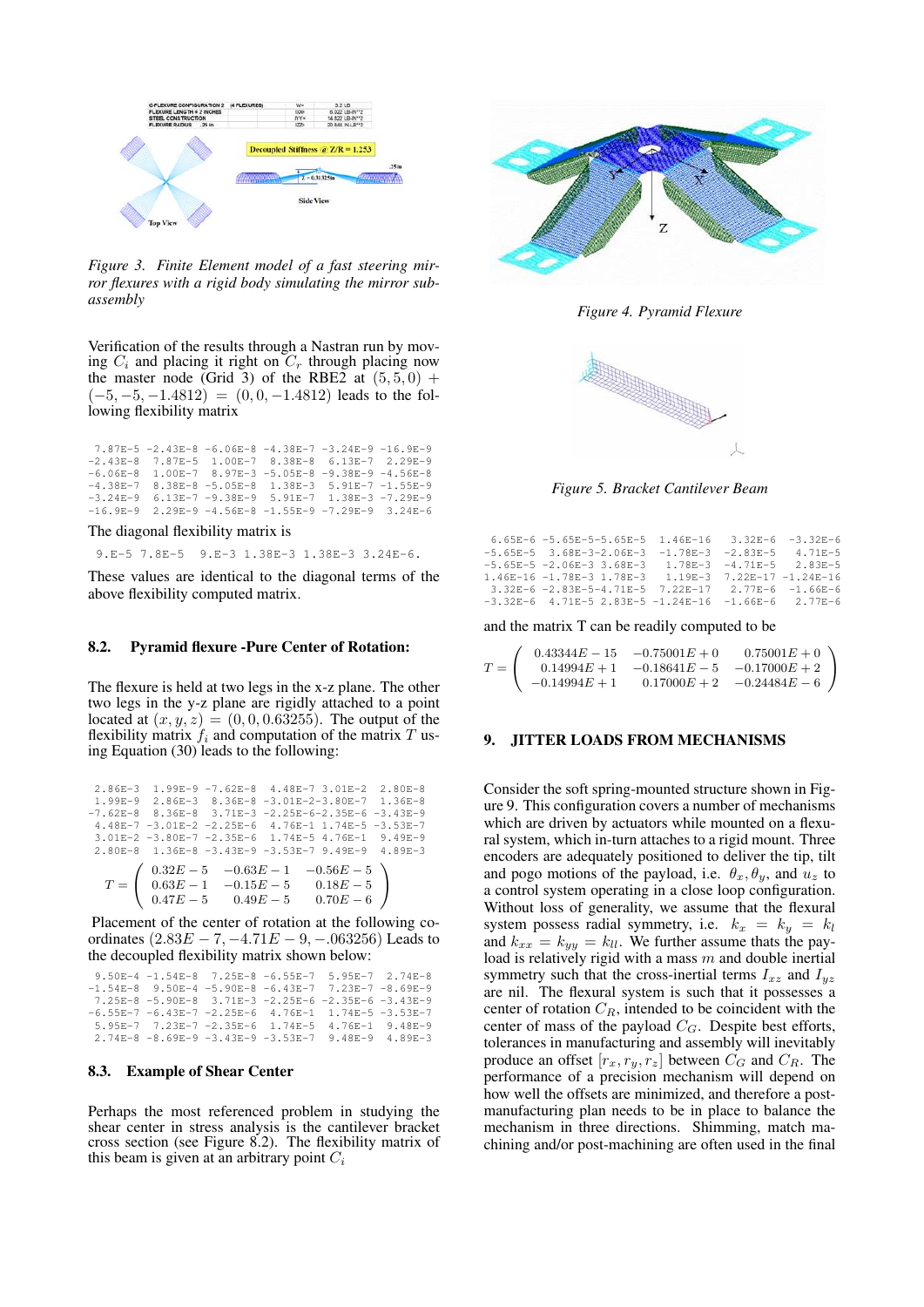

*Figure 3. Finite Element model of a fast steering mirror flexures with a rigid body simulating the mirror subassembly*

Verification of the results through a Nastran run by moving  $C_i$  and placing it right on  $C_r$  through placing now the master node (Grid 3) of the RBE2 at  $(5,5,0)$  +  $(-5, -5, -1.4812) = (0, 0, -1.4812)$  leads to the following flexibility matrix

|  |  | 7.87E-5 -2.43E-8 -6.06E-8 -4.38E-7 -3.24E-9 -16.9E-9   |  |
|--|--|--------------------------------------------------------|--|
|  |  | $-2.43E-8$ 7.87E-5 1.00E-7 8.38E-8 6.13E-7 2.29E-9     |  |
|  |  | $-6.06E-8$ 1.00E-7 8.97E-3 -5.05E-8 -9.38E-9 -4.56E-8  |  |
|  |  | $-4.38E - 7$ 8.38E-8 -5.05E-8 1.38E-3 5.91E-7 -1.55E-9 |  |
|  |  | $-3.24E-9$ 6.13E-7 -9.38E-9 5.91E-7 1.38E-3 -7.29E-9   |  |
|  |  | $-16.9E-9$ 2.29E-9 -4.56E-8 -1.55E-9 -7.29E-9 3.24E-6  |  |

The diagonal flexibility matrix is

9.E-5 7.8E-5 9.E-3 1.38E-3 1.38E-3 3.24E-6.

These values are identical to the diagonal terms of the above flexibility computed matrix.

# 8.2. Pyramid flexure -Pure Center of Rotation:

The flexure is held at two legs in the x-z plane. The other two legs in the y-z plane are rigidly attached to a point located at  $(x, y, z) = (0, 0, 0.63255)$ . The output of the flexibility matrix  $f_i$  and computation of the matrix T using Equation (30) leads to the following:

|  | 2.86E-3 1.99E-9 -7.62E-8 4.48E-7 3.01E-2 2.80E-8                                                                                                 |  |  |
|--|--------------------------------------------------------------------------------------------------------------------------------------------------|--|--|
|  | $1.99E-9$ 2.86E-3 8.36E-8 -3.01E-2-3.80E-7 1.36E-8                                                                                               |  |  |
|  | $-7.62E-8$ 8.36E-8 3.71E-3 -2.25E-6-2.35E-6 -3.43E-9                                                                                             |  |  |
|  | 4.48E-7 -3.01E-2 -2.25E-6 4.76E-1 1.74E-5 -3.53E-7                                                                                               |  |  |
|  | 3.01E-2 -3.80E-7 -2.35E-6 1.74E-5 4.76E-1 9.49E-9                                                                                                |  |  |
|  | 2.80E-8 1.36E-8 -3.43E-9 -3.53E-7 9.49E-9 4.89E-3                                                                                                |  |  |
|  | $T = \left( \begin{array}{ccc} 0.32E-5 & -0.63E-1 & -0.56E-5 \\ 0.63E-1 & -0.15E-5 & 0.18E-5 \\ 0.47E-5 & 0.49E-5 & 0.70E-6 \end{array} \right)$ |  |  |
|  |                                                                                                                                                  |  |  |

Placement of the center of rotation at the following coordinates  $(2.83E - 7, -4.71E - 9, -0.063256)$  Leads to the decoupled flexibility matrix shown below:

|  | 9.50E-4 -1.54E-8 7.25E-8 -6.55E-7 5.95E-7 2.74E-8             |  |
|--|---------------------------------------------------------------|--|
|  | $-1.54E-8$ 9.50E-4 -5.90E-8 -6.43E-7 7.23E-7 -8.69E-9         |  |
|  | 7.25E-8 -5.90E-8 3.71E-3 -2.25E-6 -2.35E-6 -3.43E-9           |  |
|  | $-6.55E-7$ $-6.43E-7$ $-2.25E-6$ $4.76E-1$ 1.74E-5 $-3.53E-7$ |  |
|  | 5.95E-7 7.23E-7 -2.35E-6 1.74E-5 4.76E-1 9.48E-9              |  |
|  | 2.74E-8 -8.69E-9 -3.43E-9 -3.53E-7 9.48E-9 4.89E-3            |  |

### 8.3. Example of Shear Center

Perhaps the most referenced problem in studying the shear center in stress analysis is the cantilever bracket cross section (see Figure 8.2). The flexibility matrix of this beam is given at an arbitrary point  $C_i$ 



*Figure 4. Pyramid Flexure*



*Figure 5. Bracket Cantilever Beam*

| 6.65E-6 -5.65E-5-5.65E-5 1.46E-16 3.32E-6 -3.32E-6        |  |  |
|-----------------------------------------------------------|--|--|
| $-5.65E-5$ 3.68E-3-2.06E-3 -1.78E-3 -2.83E-5 4.71E-5      |  |  |
| $-5.65E-5$ $-2.06E-3$ 3.68E-3 1.78E-3 $-4.71E-5$ 2.83E-5  |  |  |
| 1.46E-16 -1.78E-3 1.78E-3 1.19E-3 7.22E-17 -1.24E-16      |  |  |
| 3.32E-6 -2.83E-5-4.71E-5 7.22E-17 2.77E-6 -1.66E-6        |  |  |
| $-3.32E-6$ 4.71E-5 2.83E-5 $-1.24E-16$ $-1.66E-6$ 2.77E-6 |  |  |
|                                                           |  |  |

and the matrix T can be readily computed to be

|                  |                 | $0.43344E - 15 -0.75001E + 0$ | $0.75001E + 0$                |
|------------------|-----------------|-------------------------------|-------------------------------|
| $T = \mathsf{I}$ | $0.14994E + 1$  |                               | $-0.18641E - 5 -0.17000E + 2$ |
|                  | $-0.14994E + 1$ |                               | $0.17000E + 2 -0.24484E - 6$  |

## 9. JITTER LOADS FROM MECHANISMS

Consider the soft spring-mounted structure shown in Figure 9. This configuration covers a number of mechanisms which are driven by actuators while mounted on a flexural system, which in-turn attaches to a rigid mount. Three encoders are adequately positioned to deliver the tip, tilt and pogo motions of the payload, i.e.  $\theta_x, \theta_y$ , and  $u_z$  to a control system operating in a close loop configuration. Without loss of generality, we assume that the flexural system possess radial symmetry, i.e.  $k_x = k_y = k_l$ and  $k_{xx} = k_{yy} = k_{ll}$ . We further assume thats the payload is relatively rigid with a mass  $m$  and double inertial symmetry such that the cross-inertial terms  $I_{xz}$  and  $I_{yz}$ are nil. The flexural system is such that it possesses a center of rotation  $C_R$ , intended to be coincident with the center of mass of the payload  $C_G$ . Despite best efforts, tolerances in manufacturing and assembly will inevitably produce an offset  $[r_x, r_y, r_z]$  between  $C_G$  and  $C_R$ . The performance of a precision mechanism will depend on how well the offsets are minimized, and therefore a postmanufacturing plan needs to be in place to balance the mechanism in three directions. Shimming, match machining and/or post-machining are often used in the final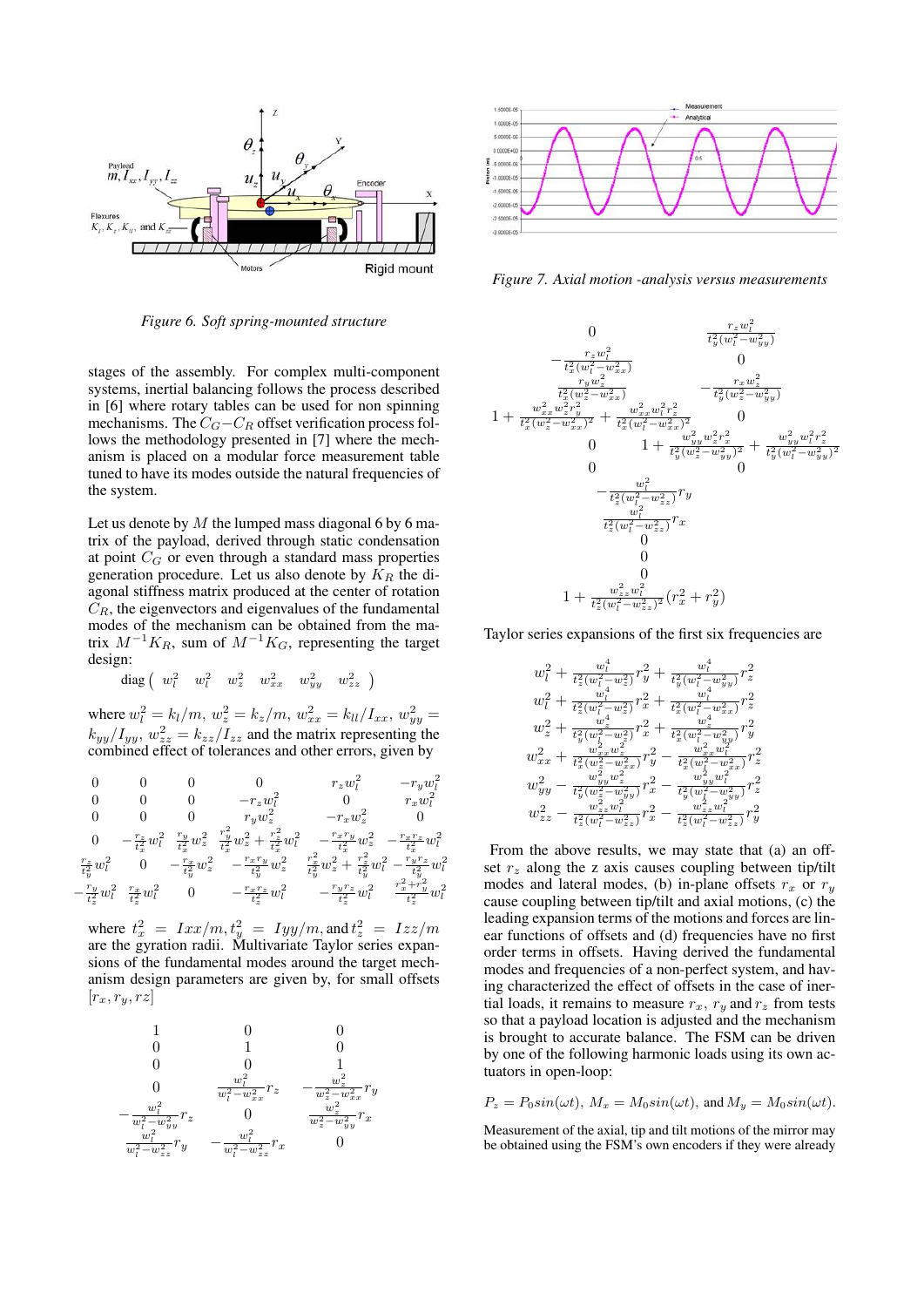

*Figure 6. Soft spring-mounted structure*

stages of the assembly. For complex multi-component systems, inertial balancing follows the process described in [6] where rotary tables can be used for non spinning mechanisms. The  $C_G-C_R$  offset verification process follows the methodology presented in [7] where the mechanism is placed on a modular force measurement table tuned to have its modes outside the natural frequencies of the system.

Let us denote by  $M$  the lumped mass diagonal 6 by 6 matrix of the payload, derived through static condensation at point  $C_G$  or even through a standard mass properties generation procedure. Let us also denote by  $K_R$  the diagonal stiffness matrix produced at the center of rotation  $C_R$ , the eigenvectors and eigenvalues of the fundamental modes of the mechanism can be obtained from the matrix  $M^{-1}K_R$ , sum of  $M^{-1}K_G$ , representing the target design:

 ${\rm diag}\left( \begin{array}{cccc} w_l^2 & w_l^2 & w_z^2 & w_{xx}^2 & w_{yy}^2 & w_{zz}^2 \end{array} \right)$ 

where  $w_l^2 = k_l/m$ ,  $w_z^2 = k_z/m$ ,  $w_{xx}^2 = k_{ll}/I_{xx}$ ,  $w_{yy}^2 =$  $k_{yy}/I_{yy}, w_{zz}^2 = k_{zz}/I_{zz}$  and the matrix representing the combined effect of tolerances and other errors, given by

$$
\begin{array}{ccccccccc} 0 & 0 & 0 & 0 & r_z w_l^2 & -r_y w_l^2 \\ 0 & 0 & 0 & -r_z w_l^2 & 0 & r_x w_l^2 \\ 0 & 0 & 0 & r_y w_z^2 & -r_x w_z^2 & 0 \\ 0 & -\frac{r_z}{t_x^2} w_l^2 & \frac{r_y}{t_x^2} w_z^2 & +\frac{r_z^2}{t_x^2} w_l^2 & -\frac{r_x r_y}{t_x^2} w_z^2 & -\frac{r_x r_z}{t_x^2} w_l^2 \\ \frac{r_z}{t_y^2} w_l^2 & 0 & -\frac{r_x}{t_y^2} w_z^2 & -\frac{r_x r_y}{t_y^2} w_z^2 & \frac{r_x^2}{t_y^2} w_z^2 & +\frac{r_z^2}{t_y^2} w_l^2 & -\frac{r_y r_z}{t_y^2} w_l^2 \\ -\frac{r_y}{t_z^2} w_l^2 & \frac{r_x}{t_z^2} w_l^2 & 0 & -\frac{r_x r_z}{t_z^2} w_l^2 & -\frac{r_y r_z}{t_z^2} w_l^2 & \frac{r_x^2 + r_y^2}{t_z^2} w_l^2 \end{array}
$$

where  $t_x^2 = Ixx/m$ ,  $t_y^2 = Iyy/m$ , and  $t_z^2 = Izz/m$ are the gyration radii. Multivariate Taylor series expansions of the fundamental modes around the target mechanism design parameters are given by, for small offsets  $[r_x, r_y, rz]$ 





*Figure 7. Axial motion -analysis versus measurements*



Taylor series expansions of the first six frequencies are

$$
\begin{array}{c} w_l^2+\frac{w_l^4}{t_z^2(w_l^2-w_z^2)}r_y^2+\frac{w_l^4}{t_y^2(w_l^2-w_{yy}^2)}r_z^2\\ w_l^2+\frac{w_l^4}{t_z^2(w_l^2-w_z^2)}r_x^2+\frac{w_l^4}{t_x^2(w_l^2-w_{xx}^2)}r_z^2\\ w_z^2+\frac{w_z^4}{t_y^2(w_l^2-w_z^2)}r_x^2+\frac{w_z^4}{t_x^2(w_l^2-w_{yy}^2)}r_y^2\\ w_{xx}^2+\frac{w_{xx}^2w_z^2}{t_x^2(w_x^2-w_{xx}^2)}r_y^2-\frac{w_{xx}^2w_l^2}{t_x^2(w_l^2-w_{xx}^2)}r_z^2\\ w_{yy}^2-\frac{w_{xy}^2w_z^2}{t_y^2(w_z^2-w_{yy}^2)}r_x^2-\frac{w_{yy}^4w_l^2}{t_y^2(w_l^2-w_{xy}^2)}r_z^2\\ w_{zz}^2-\frac{w_{zz}^2w_l^2}{t_z^2(w_l^2-w_{zz}^2)}r_x^2-\frac{w_{zz}^4w_l^2}{t_z^2(w_l^2-w_{zz}^2)}r_y^2\end{array}
$$

From the above results, we may state that (a) an offset  $r<sub>z</sub>$  along the z axis causes coupling between tip/tilt modes and lateral modes, (b) in-plane offsets  $r_x$  or  $r_y$ cause coupling between tip/tilt and axial motions, (c) the leading expansion terms of the motions and forces are linear functions of offsets and (d) frequencies have no first order terms in offsets. Having derived the fundamental modes and frequencies of a non-perfect system, and having characterized the effect of offsets in the case of inertial loads, it remains to measure  $r_x$ ,  $r_y$  and  $r_z$  from tests so that a payload location is adjusted and the mechanism is brought to accurate balance. The FSM can be driven by one of the following harmonic loads using its own actuators in open-loop:

$$
P_z = P_0 \sin(\omega t), M_x = M_0 \sin(\omega t), \text{ and } M_y = M_0 \sin(\omega t).
$$

Measurement of the axial, tip and tilt motions of the mirror may be obtained using the FSM's own encoders if they were already